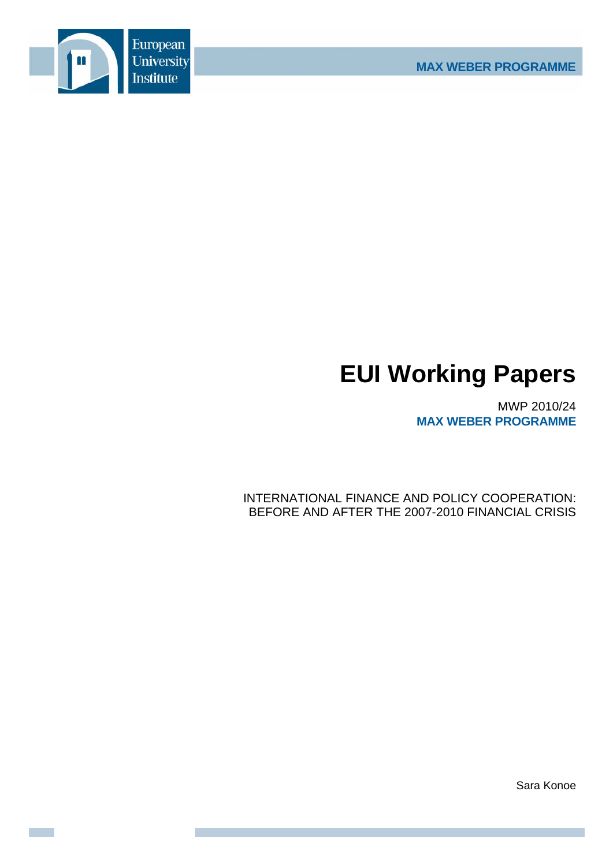

# **EUI Working Papers**

MWP 2010/24 **MAX WEBER PROGRAMME**

INTERNATIONAL FINANCE AND POLICY COOPERATION: BEFORE AND AFTER THE 2007-2010 FINANCIAL CRISIS

Sara Konoe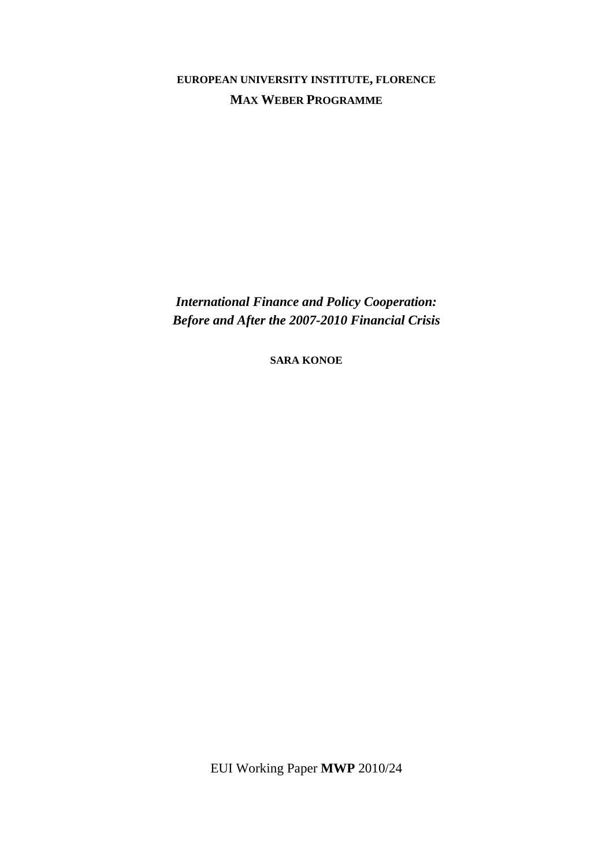**EUROPEAN UNIVERSITY INSTITUTE, FLORENCE MAX WEBER PROGRAMME**

*International Finance and Policy Cooperation: Before and After the 2007-2010 Financial Crisis* 

**SARA KONOE**

EUI Working Paper **MWP** 2010/24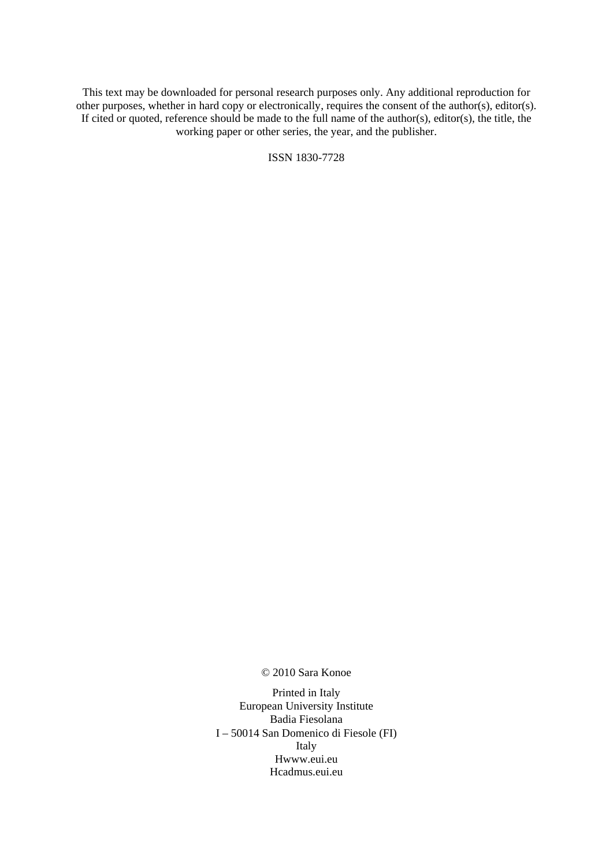This text may be downloaded for personal research purposes only. Any additional reproduction for other purposes, whether in hard copy or electronically, requires the consent of the author(s), editor(s). If cited or quoted, reference should be made to the full name of the author(s), editor(s), the title, the working paper or other series, the year, and the publisher.

ISSN 1830-7728

© 2010 Sara Konoe

Printed in Italy European University Institute Badia Fiesolana I – 50014 San Domenico di Fiesole (FI) Italy Hwww.eui.eu H cadmus.eui.eu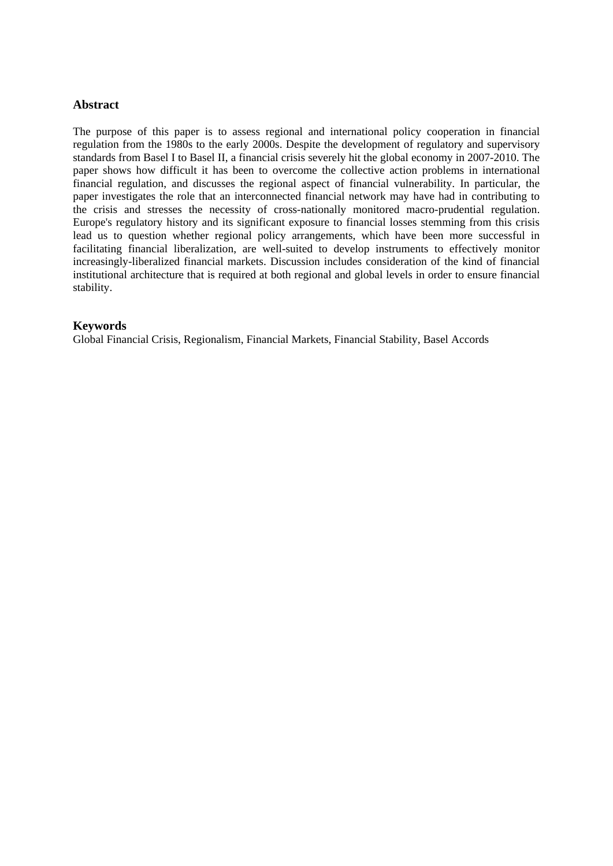# **Abstract**

The purpose of this paper is to assess regional and international policy cooperation in financial regulation from the 1980s to the early 2000s. Despite the development of regulatory and supervisory standards from Basel I to Basel II, a financial crisis severely hit the global economy in 2007-2010. The paper shows how difficult it has been to overcome the collective action problems in international financial regulation, and discusses the regional aspect of financial vulnerability. In particular, the paper investigates the role that an interconnected financial network may have had in contributing to the crisis and stresses the necessity of cross-nationally monitored macro-prudential regulation. Europe's regulatory history and its significant exposure to financial losses stemming from this crisis lead us to question whether regional policy arrangements, which have been more successful in facilitating financial liberalization, are well-suited to develop instruments to effectively monitor increasingly-liberalized financial markets. Discussion includes consideration of the kind of financial institutional architecture that is required at both regional and global levels in order to ensure financial stability.

## **Keywords**

Global Financial Crisis, Regionalism, Financial Markets, Financial Stability, Basel Accords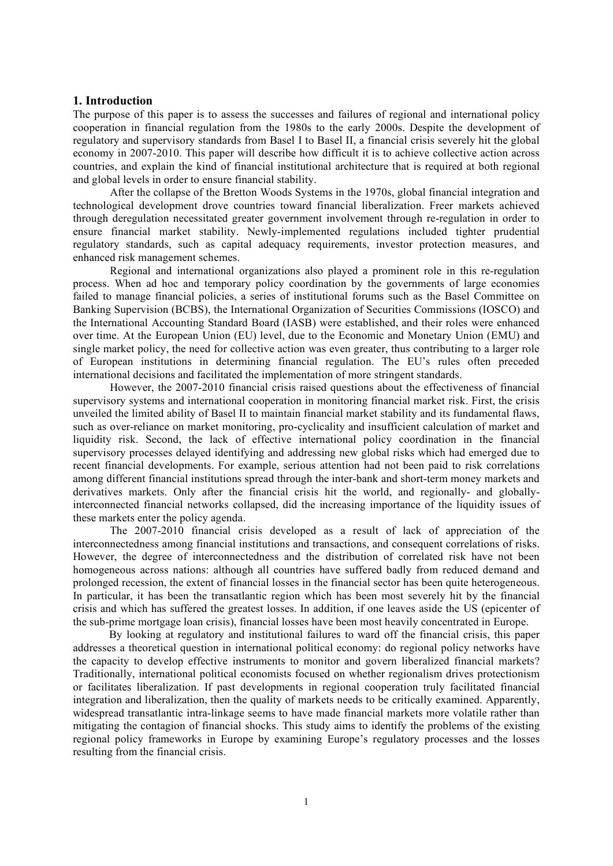#### **1. Introduction**

The purpose of this paper is to assess the successes and failures of regional and international policy cooperation in financial regulation from the 1980s to the early 2000s. Despite the development of regulatory and supervisory standards from Basel I to Basel II, a financial crisis severely hit the global economy in 2007-2010. This paper will describe how difficult it is to achieve collective action across countries, and explain the kind of financial institutional architecture that is required at both regional and global levels in order to ensure financial stability.

After the collapse of the Bretton Woods Systems in the 1970s, global financial integration and technological development drove countries toward financial liberalization. Freer markets achieved through deregulation necessitated greater government involvement through re-regulation in order to ensure financial market stability. Newly-implemented regulations included tighter prudential regulatory standards, such as capital adequacy requirements, investor protection measures, and enhanced risk management schemes.

Regional and international organizations also played a prominent role in this re-regulation process. When ad hoc and temporary policy coordination by the governments of large economies failed to manage financial policies, a series of institutional forums such as the Basel Committee on Banking Supervision (BCBS), the International Organization of Securities Commissions (IOSCO) and the International Accounting Standard Board (IASB) were established, and their roles were enhanced over time. At the European Union (EU) level, due to the Economic and Monetary Union (EMU) and single market policy, the need for collective action was even greater, thus contributing to a larger role of European institutions in determining financial regulation. The EU's rules often preceded international decisions and facilitated the implementation of more stringent standards.

However, the 2007-2010 financial crisis raised questions about the effectiveness of financial supervisory systems and international cooperation in monitoring financial market risk. First, the crisis unveiled the limited ability of Basel II to maintain financial market stability and its fundamental flaws, such as over-reliance on market monitoring, pro-cyclicality and insufficient calculation of market and liquidity risk. Second, the lack of effective international policy coordination in the financial supervisory processes delayed identifying and addressing new global risks which had emerged due to recent financial developments. For example, serious attention had not been paid to risk correlations among different financial institutions spread through the inter-bank and short-term money markets and derivatives markets. Only after the financial crisis hit the world, and regionally- and globallyinterconnected financial networks collapsed, did the increasing importance of the liquidity issues of these markets enter the policy agenda.

The 2007-2010 financial crisis developed as a result of lack of appreciation of the interconnectedness among financial institutions and transactions, and consequent correlations of risks. However, the degree of interconnectedness and the distribution of correlated risk have not been homogeneous across nations: although all countries have suffered badly from reduced demand and prolonged recession, the extent of financial losses in the financial sector has been quite heterogeneous. In particular, it has been the transatlantic region which has been most severely hit by the financial crisis and which has suffered the greatest losses. In addition, if one leaves aside the US (epicenter of the sub-prime mortgage loan crisis), financial losses have been most heavily concentrated in Europe.

By looking at regulatory and institutional failures to ward off the financial crisis, this paper addresses a theoretical question in international political economy: do regional policy networks have the capacity to develop effective instruments to monitor and govern liberalized financial markets? Traditionally, international political economists focused on whether regionalism drives protectionism or facilitates liberalization. If past developments in regional cooperation truly facilitated financial integration and liberalization, then the quality of markets needs to be critically examined. Apparently, widespread transatlantic intra-linkage seems to have made financial markets more volatile rather than mitigating the contagion of financial shocks. This study aims to identify the problems of the existing regional policy frameworks in Europe by examining Europe's regulatory processes and the losses resulting from the financial crisis.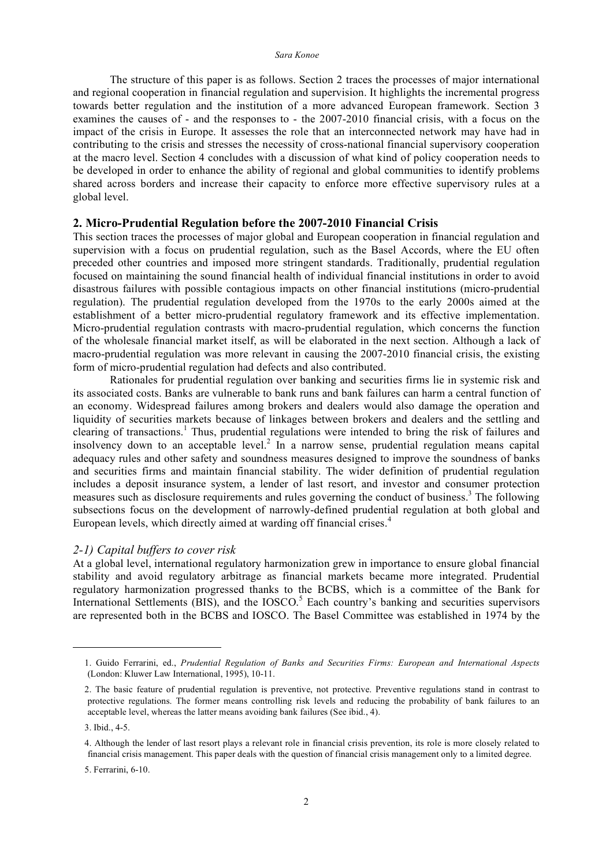The structure of this paper is as follows. Section 2 traces the processes of major international and regional cooperation in financial regulation and supervision. It highlights the incremental progress towards better regulation and the institution of a more advanced European framework. Section 3 examines the causes of - and the responses to - the 2007-2010 financial crisis, with a focus on the impact of the crisis in Europe. It assesses the role that an interconnected network may have had in contributing to the crisis and stresses the necessity of cross-national financial supervisory cooperation at the macro level. Section 4 concludes with a discussion of what kind of policy cooperation needs to be developed in order to enhance the ability of regional and global communities to identify problems shared across borders and increase their capacity to enforce more effective supervisory rules at a global level.

#### **2. Micro-Prudential Regulation before the 2007-2010 Financial Crisis**

This section traces the processes of major global and European cooperation in financial regulation and supervision with a focus on prudential regulation, such as the Basel Accords, where the EU often preceded other countries and imposed more stringent standards. Traditionally, prudential regulation focused on maintaining the sound financial health of individual financial institutions in order to avoid disastrous failures with possible contagious impacts on other financial institutions (micro-prudential regulation). The prudential regulation developed from the 1970s to the early 2000s aimed at the establishment of a better micro-prudential regulatory framework and its effective implementation. Micro-prudential regulation contrasts with macro-prudential regulation, which concerns the function of the wholesale financial market itself, as will be elaborated in the next section. Although a lack of macro-prudential regulation was more relevant in causing the 2007-2010 financial crisis, the existing form of micro-prudential regulation had defects and also contributed.

Rationales for prudential regulation over banking and securities firms lie in systemic risk and its associated costs. Banks are vulnerable to bank runs and bank failures can harm a central function of an economy. Widespread failures among brokers and dealers would also damage the operation and liquidity of securities markets because of linkages between brokers and dealers and the settling and clearing of transactions. <sup>1</sup> Thus, prudential regulations were intended to bring the risk of failures and insolvency down to an acceptable level. <sup>2</sup> In a narrow sense, prudential regulation means capital adequacy rules and other safety and soundness measures designed to improve the soundness of banks and securities firms and maintain financial stability. The wider definition of prudential regulation includes a deposit insurance system, a lender of last resort, and investor and consumer protection measures such as disclosure requirements and rules governing the conduct of business.<sup>3</sup> The following subsections focus on the development of narrowly-defined prudential regulation at both global and European levels, which directly aimed at warding off financial crises. 4

#### *2-1) Capital buffers to cover risk*

At a global level, international regulatory harmonization grew in importance to ensure global financial stability and avoid regulatory arbitrage as financial markets became more integrated. Prudential regulatory harmonization progressed thanks to the BCBS, which is a committee of the Bank for International Settlements (BIS), and the IOSCO.<sup>5</sup> Each country's banking and securities supervisors are represented both in the BCBS and IOSCO. The Basel Committee was established in 1974 by the

<u>.</u>

<sup>1.</sup> Guido Ferrarini, ed., *Prudential Regulation of Banks and Securities Firms: European and International Aspects* (London: Kluwer Law International, 1995), 10-11.

<sup>2.</sup> The basic feature of prudential regulation is preventive, not protective. Preventive regulations stand in contrast to protective regulations. The former means controlling risk levels and reducing the probability of bank failures to an acceptable level, whereas the latter means avoiding bank failures (See ibid., 4).

<sup>3.</sup> Ibid., 4-5.

<sup>4.</sup> Although the lender of last resort plays a relevant role in financial crisis prevention, its role is more closely related to financial crisis management. This paper deals with the question of financial crisis management only to a limited degree.

<sup>5.</sup> Ferrarini, 6-10.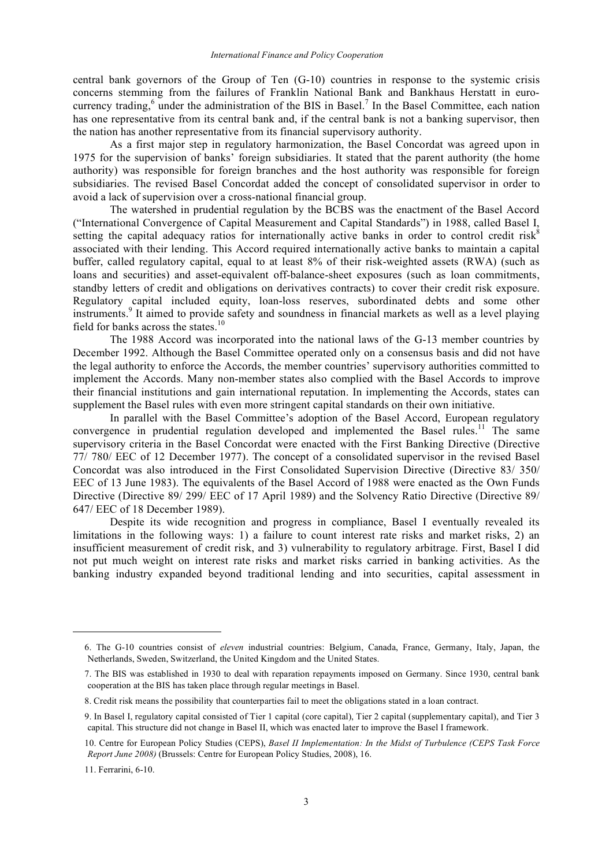central bank governors of the Group of Ten (G-10) countries in response to the systemic crisis concerns stemming from the failures of Franklin National Bank and Bankhaus Herstatt in eurocurrency trading,<sup>6</sup> under the administration of the BIS in Basel.<sup>7</sup> In the Basel Committee, each nation has one representative from its central bank and, if the central bank is not a banking supervisor, then the nation has another representative from its financial supervisory authority.

As a first major step in regulatory harmonization, the Basel Concordat was agreed upon in 1975 for the supervision of banks' foreign subsidiaries. It stated that the parent authority (the home authority) was responsible for foreign branches and the host authority was responsible for foreign subsidiaries. The revised Basel Concordat added the concept of consolidated supervisor in order to avoid a lack of supervision over a cross-national financial group.

The watershed in prudential regulation by the BCBS was the enactment of the Basel Accord ("International Convergence of Capital Measurement and Capital Standards") in 1988, called Basel I, setting the capital adequacy ratios for internationally active banks in order to control credit risk $\hat{s}$ associated with their lending. This Accord required internationally active banks to maintain a capital buffer, called regulatory capital, equal to at least 8% of their risk-weighted assets (RWA) (such as loans and securities) and asset-equivalent off-balance-sheet exposures (such as loan commitments, standby letters of credit and obligations on derivatives contracts) to cover their credit risk exposure. Regulatory capital included equity, loan-loss reserves, subordinated debts and some other instruments. <sup>9</sup> It aimed to provide safety and soundness in financial markets as well as a level playing field for banks across the states.<sup>10</sup>

The 1988 Accord was incorporated into the national laws of the G-13 member countries by December 1992. Although the Basel Committee operated only on a consensus basis and did not have the legal authority to enforce the Accords, the member countries' supervisory authorities committed to implement the Accords. Many non-member states also complied with the Basel Accords to improve their financial institutions and gain international reputation. In implementing the Accords, states can supplement the Basel rules with even more stringent capital standards on their own initiative.

In parallel with the Basel Committee's adoption of the Basel Accord, European regulatory convergence in prudential regulation developed and implemented the Basel rules.<sup>11</sup> The same supervisory criteria in the Basel Concordat were enacted with the First Banking Directive (Directive 77/ 780/ EEC of 12 December 1977). The concept of a consolidated supervisor in the revised Basel Concordat was also introduced in the First Consolidated Supervision Directive (Directive 83/ 350/ EEC of 13 June 1983). The equivalents of the Basel Accord of 1988 were enacted as the Own Funds Directive (Directive 89/ 299/ EEC of 17 April 1989) and the Solvency Ratio Directive (Directive 89/ 647/ EEC of 18 December 1989).

Despite its wide recognition and progress in compliance, Basel I eventually revealed its limitations in the following ways: 1) a failure to count interest rate risks and market risks, 2) an insufficient measurement of credit risk, and 3) vulnerability to regulatory arbitrage. First, Basel I did not put much weight on interest rate risks and market risks carried in banking activities. As the banking industry expanded beyond traditional lending and into securities, capital assessment in

<sup>6.</sup> The G-10 countries consist of *eleven* industrial countries: Belgium, Canada, France, Germany, Italy, Japan, the Netherlands, Sweden, Switzerland, the United Kingdom and the United States.

<sup>7.</sup> The BIS was established in 1930 to deal with reparation repayments imposed on Germany. Since 1930, central bank cooperation at the BIS has taken place through regular meetings in Basel.

<sup>8.</sup> Credit risk means the possibility that counterparties fail to meet the obligations stated in a loan contract.

<sup>9.</sup> In Basel I, regulatory capital consisted of Tier 1 capital (core capital), Tier 2 capital (supplementary capital), and Tier 3 capital. This structure did not change in Basel II, which was enacted later to improve the Basel I framework.

<sup>10.</sup> Centre for European Policy Studies (CEPS), *Basel II Implementation: In the Midst of Turbulence (CEPS Task Force Report June 2008)* (Brussels: Centre for European Policy Studies, 2008), 16.

<sup>11.</sup> Ferrarini, 6-10.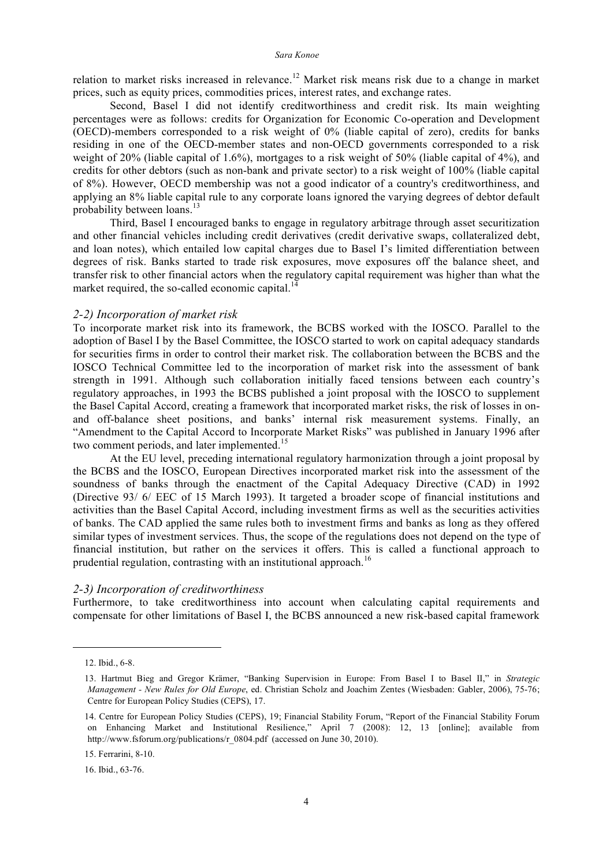relation to market risks increased in relevance.<sup>12</sup> Market risk means risk due to a change in market prices, such as equity prices, commodities prices, interest rates, and exchange rates.

Second, Basel I did not identify creditworthiness and credit risk. Its main weighting percentages were as follows: credits for Organization for Economic Co-operation and Development (OECD)-members corresponded to a risk weight of 0% (liable capital of zero), credits for banks residing in one of the OECD-member states and non-OECD governments corresponded to a risk weight of 20% (liable capital of 1.6%), mortgages to a risk weight of 50% (liable capital of 4%), and credits for other debtors (such as non-bank and private sector) to a risk weight of 100% (liable capital of 8%). However, OECD membership was not a good indicator of a country's creditworthiness, and applying an 8% liable capital rule to any corporate loans ignored the varying degrees of debtor default probability between loans.<sup>13</sup>

Third, Basel I encouraged banks to engage in regulatory arbitrage through asset securitization and other financial vehicles including credit derivatives (credit derivative swaps, collateralized debt, and loan notes), which entailed low capital charges due to Basel I's limited differentiation between degrees of risk. Banks started to trade risk exposures, move exposures off the balance sheet, and transfer risk to other financial actors when the regulatory capital requirement was higher than what the market required, the so-called economic capital.<sup>14</sup>

#### *2-2) Incorporation of market risk*

To incorporate market risk into its framework, the BCBS worked with the IOSCO. Parallel to the adoption of Basel I by the Basel Committee, the IOSCO started to work on capital adequacy standards for securities firms in order to control their market risk. The collaboration between the BCBS and the IOSCO Technical Committee led to the incorporation of market risk into the assessment of bank strength in 1991. Although such collaboration initially faced tensions between each country's regulatory approaches, in 1993 the BCBS published a joint proposal with the IOSCO to supplement the Basel Capital Accord, creating a framework that incorporated market risks, the risk of losses in onand off-balance sheet positions, and banks' internal risk measurement systems. Finally, an "Amendment to the Capital Accord to Incorporate Market Risks" was published in January 1996 after two comment periods, and later implemented.<sup>15</sup>

At the EU level, preceding international regulatory harmonization through a joint proposal by the BCBS and the IOSCO, European Directives incorporated market risk into the assessment of the soundness of banks through the enactment of the Capital Adequacy Directive (CAD) in 1992 (Directive 93/ 6/ EEC of 15 March 1993). It targeted a broader scope of financial institutions and activities than the Basel Capital Accord, including investment firms as well as the securities activities of banks. The CAD applied the same rules both to investment firms and banks as long as they offered similar types of investment services. Thus, the scope of the regulations does not depend on the type of financial institution, but rather on the services it offers. This is called a functional approach to prudential regulation, contrasting with an institutional approach.<sup>16</sup>

#### *2-3) Incorporation of creditworthiness*

Furthermore, to take creditworthiness into account when calculating capital requirements and compensate for other limitations of Basel I, the BCBS announced a new risk-based capital framework

<u>.</u>

15. Ferrarini, 8-10.

16. Ibid., 63-76.

<sup>12.</sup> Ibid., 6-8.

<sup>13.</sup> Hartmut Bieg and Gregor Krämer, "Banking Supervision in Europe: From Basel I to Basel II," in *Strategic Management - New Rules for Old Europe*, ed. Christian Scholz and Joachim Zentes (Wiesbaden: Gabler, 2006), 75-76; Centre for European Policy Studies (CEPS), 17.

<sup>14.</sup> Centre for European Policy Studies (CEPS), 19; Financial Stability Forum, "Report of the Financial Stability Forum on Enhancing Market and Institutional Resilience," April 7 (2008): 12, 13 [online]; available from http://www.fsforum.org/publications/r\_0804.pdf (accessed on June 30, 2010).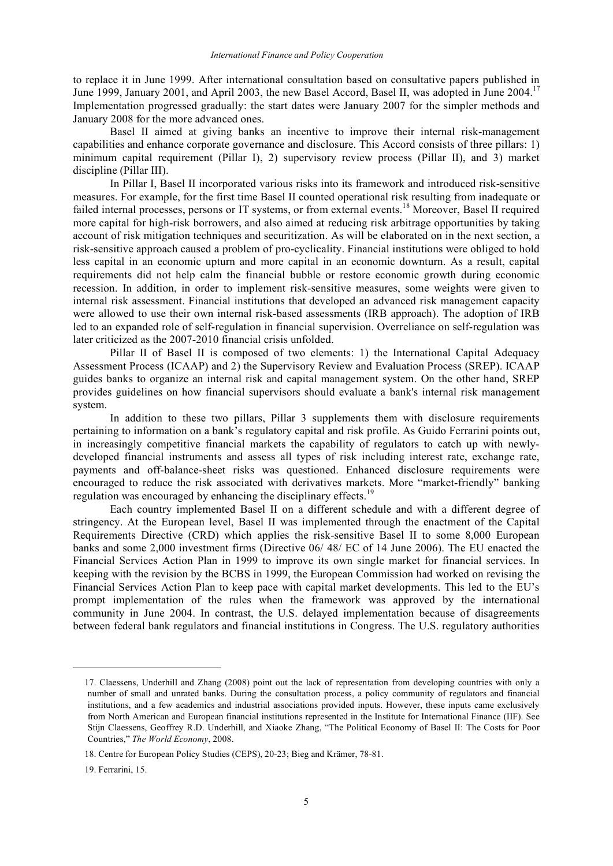to replace it in June 1999. After international consultation based on consultative papers published in June 1999, January 2001, and April 2003, the new Basel Accord, Basel II, was adopted in June 2004.<sup>17</sup> Implementation progressed gradually: the start dates were January 2007 for the simpler methods and January 2008 for the more advanced ones.

Basel II aimed at giving banks an incentive to improve their internal risk-management capabilities and enhance corporate governance and disclosure. This Accord consists of three pillars: 1) minimum capital requirement (Pillar I), 2) supervisory review process (Pillar II), and 3) market discipline (Pillar III).

In Pillar I, Basel II incorporated various risks into its framework and introduced risk-sensitive measures. For example, for the first time Basel II counted operational risk resulting from inadequate or failed internal processes, persons or IT systems, or from external events.<sup>18</sup> Moreover, Basel II required more capital for high-risk borrowers, and also aimed at reducing risk arbitrage opportunities by taking account of risk mitigation techniques and securitization. As will be elaborated on in the next section, a risk-sensitive approach caused a problem of pro-cyclicality. Financial institutions were obliged to hold less capital in an economic upturn and more capital in an economic downturn. As a result, capital requirements did not help calm the financial bubble or restore economic growth during economic recession. In addition, in order to implement risk-sensitive measures, some weights were given to internal risk assessment. Financial institutions that developed an advanced risk management capacity were allowed to use their own internal risk-based assessments (IRB approach). The adoption of IRB led to an expanded role of self-regulation in financial supervision. Overreliance on self-regulation was later criticized as the 2007-2010 financial crisis unfolded.

Pillar II of Basel II is composed of two elements: 1) the International Capital Adequacy Assessment Process (ICAAP) and 2) the Supervisory Review and Evaluation Process (SREP). ICAAP guides banks to organize an internal risk and capital management system. On the other hand, SREP provides guidelines on how financial supervisors should evaluate a bank's internal risk management system.

In addition to these two pillars, Pillar 3 supplements them with disclosure requirements pertaining to information on a bank's regulatory capital and risk profile. As Guido Ferrarini points out, in increasingly competitive financial markets the capability of regulators to catch up with newlydeveloped financial instruments and assess all types of risk including interest rate, exchange rate, payments and off-balance-sheet risks was questioned. Enhanced disclosure requirements were encouraged to reduce the risk associated with derivatives markets. More "market-friendly" banking regulation was encouraged by enhancing the disciplinary effects.<sup>19</sup>

Each country implemented Basel II on a different schedule and with a different degree of stringency. At the European level, Basel II was implemented through the enactment of the Capital Requirements Directive (CRD) which applies the risk-sensitive Basel II to some 8,000 European banks and some 2,000 investment firms (Directive 06/ 48/ EC of 14 June 2006). The EU enacted the Financial Services Action Plan in 1999 to improve its own single market for financial services. In keeping with the revision by the BCBS in 1999, the European Commission had worked on revising the Financial Services Action Plan to keep pace with capital market developments. This led to the EU's prompt implementation of the rules when the framework was approved by the international community in June 2004. In contrast, the U.S. delayed implementation because of disagreements between federal bank regulators and financial institutions in Congress. The U.S. regulatory authorities

<sup>17.</sup> Claessens, Underhill and Zhang (2008) point out the lack of representation from developing countries with only a number of small and unrated banks. During the consultation process, a policy community of regulators and financial institutions, and a few academics and industrial associations provided inputs. However, these inputs came exclusively from North American and European financial institutions represented in the Institute for International Finance (IIF). See Stijn Claessens, Geoffrey R.D. Underhill, and Xiaoke Zhang, "The Political Economy of Basel II: The Costs for Poor Countries," *The World Economy*, 2008.

<sup>18.</sup> Centre for European Policy Studies (CEPS), 20-23; Bieg and Krämer, 78-81.

<sup>19.</sup> Ferrarini, 15.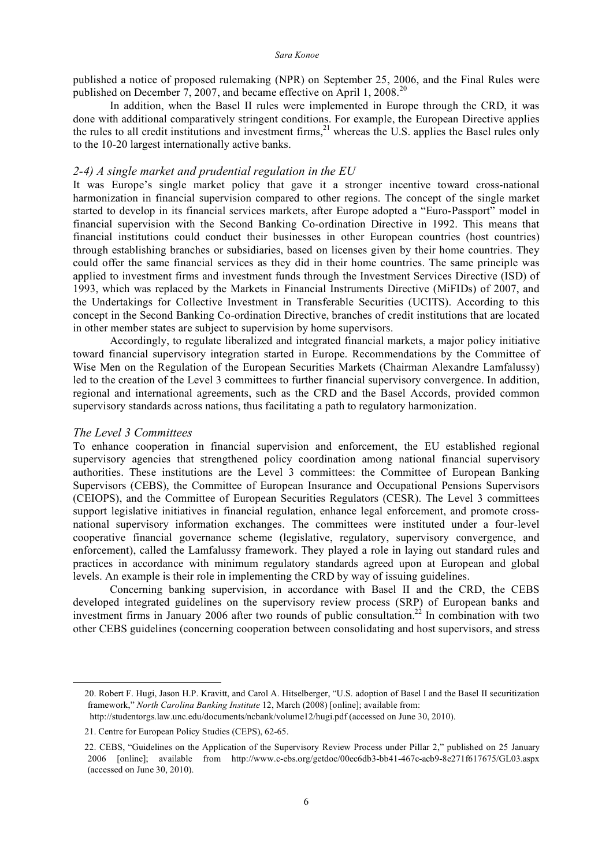published a notice of proposed rulemaking (NPR) on September 25, 2006, and the Final Rules were published on December 7, 2007, and became effective on April 1, 2008.<sup>20</sup>

In addition, when the Basel II rules were implemented in Europe through the CRD, it was done with additional comparatively stringent conditions. For example, the European Directive applies the rules to all credit institutions and investment firms,  $21$  whereas the U.S. applies the Basel rules only to the 10-20 largest internationally active banks.

#### *2-4) A single market and prudential regulation in the EU*

It was Europe's single market policy that gave it a stronger incentive toward cross-national harmonization in financial supervision compared to other regions. The concept of the single market started to develop in its financial services markets, after Europe adopted a "Euro-Passport" model in financial supervision with the Second Banking Co-ordination Directive in 1992. This means that financial institutions could conduct their businesses in other European countries (host countries) through establishing branches or subsidiaries, based on licenses given by their home countries. They could offer the same financial services as they did in their home countries. The same principle was applied to investment firms and investment funds through the Investment Services Directive (ISD) of 1993, which was replaced by the Markets in Financial Instruments Directive (MiFIDs) of 2007, and the Undertakings for Collective Investment in Transferable Securities (UCITS). According to this concept in the Second Banking Co-ordination Directive, branches of credit institutions that are located in other member states are subject to supervision by home supervisors.

Accordingly, to regulate liberalized and integrated financial markets, a major policy initiative toward financial supervisory integration started in Europe. Recommendations by the Committee of Wise Men on the Regulation of the European Securities Markets (Chairman Alexandre Lamfalussy) led to the creation of the Level 3 committees to further financial supervisory convergence. In addition, regional and international agreements, such as the CRD and the Basel Accords, provided common supervisory standards across nations, thus facilitating a path to regulatory harmonization.

#### *The Level 3 Committees*

<u>.</u>

To enhance cooperation in financial supervision and enforcement, the EU established regional supervisory agencies that strengthened policy coordination among national financial supervisory authorities. These institutions are the Level 3 committees: the Committee of European Banking Supervisors (CEBS), the Committee of European Insurance and Occupational Pensions Supervisors (CEIOPS), and the Committee of European Securities Regulators (CESR). The Level 3 committees support legislative initiatives in financial regulation, enhance legal enforcement, and promote crossnational supervisory information exchanges. The committees were instituted under a four-level cooperative financial governance scheme (legislative, regulatory, supervisory convergence, and enforcement), called the Lamfalussy framework. They played a role in laying out standard rules and practices in accordance with minimum regulatory standards agreed upon at European and global levels. An example is their role in implementing the CRD by way of issuing guidelines.

Concerning banking supervision, in accordance with Basel II and the CRD, the CEBS developed integrated guidelines on the supervisory review process (SRP) of European banks and investment firms in January 2006 after two rounds of public consultation.<sup>22</sup> In combination with two other CEBS guidelines (concerning cooperation between consolidating and host supervisors, and stress

<sup>20.</sup> Robert F. Hugi, Jason H.P. Kravitt, and Carol A. Hitselberger, "U.S. adoption of Basel I and the Basel II securitization framework," *North Carolina Banking Institute* 12, March (2008) [online]; available from:

http://studentorgs.law.unc.edu/documents/ncbank/volume12/hugi.pdf (accessed on June 30, 2010).

<sup>21.</sup> Centre for European Policy Studies (CEPS), 62-65.

<sup>22.</sup> CEBS, "Guidelines on the Application of the Supervisory Review Process under Pillar 2," published on 25 January 2006 [online]; available from http://www.c-ebs.org/getdoc/00ec6db3-bb41-467c-acb9-8e271f617675/GL03.aspx (accessed on June 30, 2010).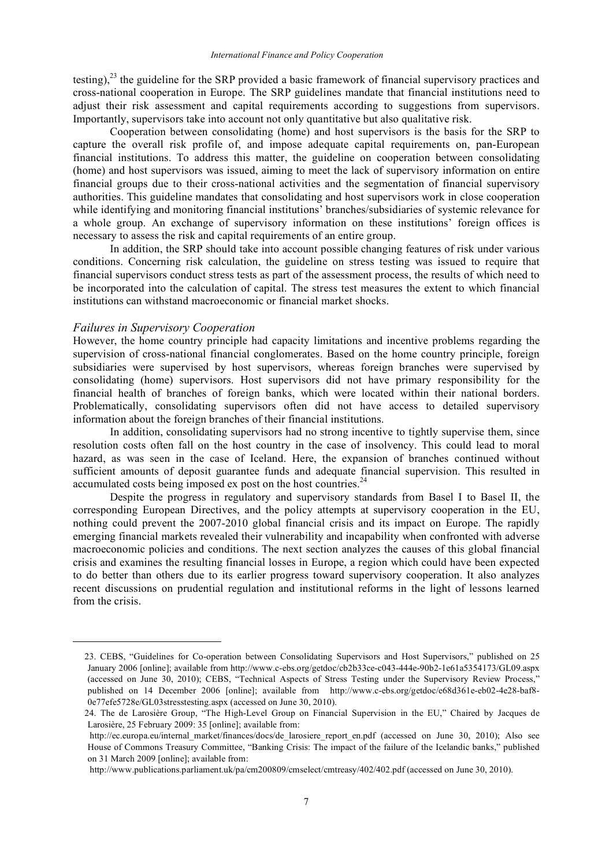testing), $^{23}$  the guideline for the SRP provided a basic framework of financial supervisory practices and cross-national cooperation in Europe. The SRP guidelines mandate that financial institutions need to adjust their risk assessment and capital requirements according to suggestions from supervisors. Importantly, supervisors take into account not only quantitative but also qualitative risk.

Cooperation between consolidating (home) and host supervisors is the basis for the SRP to capture the overall risk profile of, and impose adequate capital requirements on, pan-European financial institutions. To address this matter, the guideline on cooperation between consolidating (home) and host supervisors was issued, aiming to meet the lack of supervisory information on entire financial groups due to their cross-national activities and the segmentation of financial supervisory authorities. This guideline mandates that consolidating and host supervisors work in close cooperation while identifying and monitoring financial institutions' branches/subsidiaries of systemic relevance for a whole group. An exchange of supervisory information on these institutions' foreign offices is necessary to assess the risk and capital requirements of an entire group.

In addition, the SRP should take into account possible changing features of risk under various conditions. Concerning risk calculation, the guideline on stress testing was issued to require that financial supervisors conduct stress tests as part of the assessment process, the results of which need to be incorporated into the calculation of capital. The stress test measures the extent to which financial institutions can withstand macroeconomic or financial market shocks.

### *Failures in Supervisory Cooperation*

<u>.</u>

However, the home country principle had capacity limitations and incentive problems regarding the supervision of cross-national financial conglomerates. Based on the home country principle, foreign subsidiaries were supervised by host supervisors, whereas foreign branches were supervised by consolidating (home) supervisors. Host supervisors did not have primary responsibility for the financial health of branches of foreign banks, which were located within their national borders. Problematically, consolidating supervisors often did not have access to detailed supervisory information about the foreign branches of their financial institutions.

In addition, consolidating supervisors had no strong incentive to tightly supervise them, since resolution costs often fall on the host country in the case of insolvency. This could lead to moral hazard, as was seen in the case of Iceland. Here, the expansion of branches continued without sufficient amounts of deposit guarantee funds and adequate financial supervision. This resulted in accumulated costs being imposed ex post on the host countries.<sup>24</sup>

Despite the progress in regulatory and supervisory standards from Basel I to Basel II, the corresponding European Directives, and the policy attempts at supervisory cooperation in the EU, nothing could prevent the 2007-2010 global financial crisis and its impact on Europe. The rapidly emerging financial markets revealed their vulnerability and incapability when confronted with adverse macroeconomic policies and conditions. The next section analyzes the causes of this global financial crisis and examines the resulting financial losses in Europe, a region which could have been expected to do better than others due to its earlier progress toward supervisory cooperation. It also analyzes recent discussions on prudential regulation and institutional reforms in the light of lessons learned from the crisis.

<sup>23.</sup> CEBS, "Guidelines for Co-operation between Consolidating Supervisors and Host Supervisors," published on 25 January 2006 [online]; available from http://www.c-ebs.org/getdoc/cb2b33ce-c043-444e-90b2-1e61a5354173/GL09.aspx (accessed on June 30, 2010); CEBS, "Technical Aspects of Stress Testing under the Supervisory Review Process," published on 14 December 2006 [online]; available from http://www.c-ebs.org/getdoc/e68d361e-eb02-4e28-baf8- 0e77efe5728e/GL03stresstesting.aspx (accessed on June 30, 2010).

<sup>24.</sup> The de Larosière Group, "The High-Level Group on Financial Supervision in the EU," Chaired by Jacques de Larosière, 25 February 2009: 35 [online]; available from:

http://ec.europa.eu/internal\_market/finances/docs/de\_larosiere\_report\_en.pdf (accessed on June 30, 2010); Also see House of Commons Treasury Committee, "Banking Crisis: The impact of the failure of the Icelandic banks," published on 31 March 2009 [online]; available from:

http://www.publications.parliament.uk/pa/cm200809/cmselect/cmtreasy/402/402.pdf (accessed on June 30, 2010).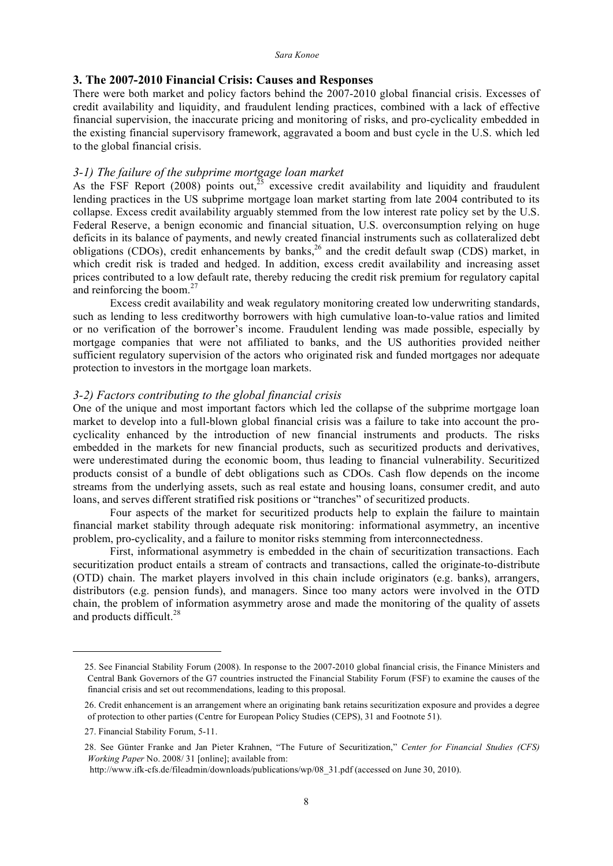# **3. The 2007-2010 Financial Crisis: Causes and Responses**

There were both market and policy factors behind the 2007-2010 global financial crisis. Excesses of credit availability and liquidity, and fraudulent lending practices, combined with a lack of effective financial supervision, the inaccurate pricing and monitoring of risks, and pro-cyclicality embedded in the existing financial supervisory framework, aggravated a boom and bust cycle in the U.S. which led to the global financial crisis.

# *3-1) The failure of the subprime mortgage loan market*

As the FSF Report (2008) points out,<sup>25</sup> excessive credit availability and liquidity and fraudulent lending practices in the US subprime mortgage loan market starting from late 2004 contributed to its collapse. Excess credit availability arguably stemmed from the low interest rate policy set by the U.S. Federal Reserve, a benign economic and financial situation, U.S. overconsumption relying on huge deficits in its balance of payments, and newly created financial instruments such as collateralized debt obligations (CDOs), credit enhancements by banks,<sup>26</sup> and the credit default swap (CDS) market, in which credit risk is traded and hedged. In addition, excess credit availability and increasing asset prices contributed to a low default rate, thereby reducing the credit risk premium for regulatory capital and reinforcing the boom. $27$ 

Excess credit availability and weak regulatory monitoring created low underwriting standards, such as lending to less creditworthy borrowers with high cumulative loan-to-value ratios and limited or no verification of the borrower's income. Fraudulent lending was made possible, especially by mortgage companies that were not affiliated to banks, and the US authorities provided neither sufficient regulatory supervision of the actors who originated risk and funded mortgages nor adequate protection to investors in the mortgage loan markets.

## *3-2) Factors contributing to the global financial crisis*

One of the unique and most important factors which led the collapse of the subprime mortgage loan market to develop into a full-blown global financial crisis was a failure to take into account the procyclicality enhanced by the introduction of new financial instruments and products. The risks embedded in the markets for new financial products, such as securitized products and derivatives, were underestimated during the economic boom, thus leading to financial vulnerability. Securitized products consist of a bundle of debt obligations such as CDOs. Cash flow depends on the income streams from the underlying assets, such as real estate and housing loans, consumer credit, and auto loans, and serves different stratified risk positions or "tranches" of securitized products.

Four aspects of the market for securitized products help to explain the failure to maintain financial market stability through adequate risk monitoring: informational asymmetry, an incentive problem, pro-cyclicality, and a failure to monitor risks stemming from interconnectedness.

First, informational asymmetry is embedded in the chain of securitization transactions. Each securitization product entails a stream of contracts and transactions, called the originate-to-distribute (OTD) chain. The market players involved in this chain include originators (e.g. banks), arrangers, distributors (e.g. pension funds), and managers. Since too many actors were involved in the OTD chain, the problem of information asymmetry arose and made the monitoring of the quality of assets and products difficult.<sup>28</sup>

<u>.</u>

<sup>25.</sup> See Financial Stability Forum (2008). In response to the 2007-2010 global financial crisis, the Finance Ministers and Central Bank Governors of the G7 countries instructed the Financial Stability Forum (FSF) to examine the causes of the financial crisis and set out recommendations, leading to this proposal.

<sup>26.</sup> Credit enhancement is an arrangement where an originating bank retains securitization exposure and provides a degree of protection to other parties (Centre for European Policy Studies (CEPS), 31 and Footnote 51).

<sup>27.</sup> Financial Stability Forum, 5-11.

<sup>28.</sup> See Günter Franke and Jan Pieter Krahnen, "The Future of Securitization," *Center for Financial Studies (CFS) Working Paper* No. 2008/ 31 [online]; available from:

http://www.ifk-cfs.de/fileadmin/downloads/publications/wp/08\_31.pdf (accessed on June 30, 2010).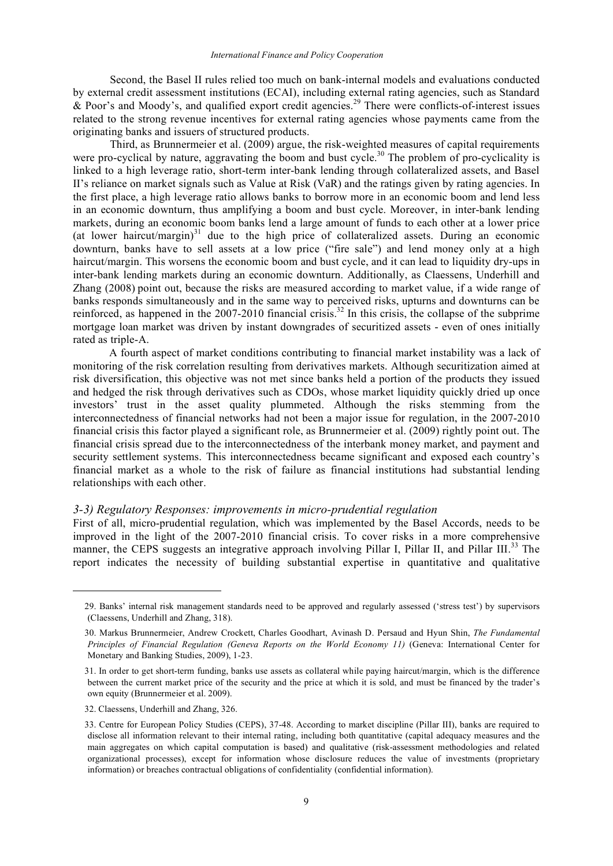Second, the Basel II rules relied too much on bank-internal models and evaluations conducted by external credit assessment institutions (ECAI), including external rating agencies, such as Standard  $\&$  Poor's and Moody's, and qualified export credit agencies.<sup>29</sup> There were conflicts-of-interest issues related to the strong revenue incentives for external rating agencies whose payments came from the originating banks and issuers of structured products.

Third, as Brunnermeier et al. (2009) argue, the risk-weighted measures of capital requirements were pro-cyclical by nature, aggravating the boom and bust cycle.<sup>30</sup> The problem of pro-cyclicality is linked to a high leverage ratio, short-term inter-bank lending through collateralized assets, and Basel II's reliance on market signals such as Value at Risk (VaR) and the ratings given by rating agencies. In the first place, a high leverage ratio allows banks to borrow more in an economic boom and lend less in an economic downturn, thus amplifying a boom and bust cycle. Moreover, in inter-bank lending markets, during an economic boom banks lend a large amount of funds to each other at a lower price (at lower haircut/margin) $31$  due to the high price of collateralized assets. During an economic downturn, banks have to sell assets at a low price ("fire sale") and lend money only at a high haircut/margin. This worsens the economic boom and bust cycle, and it can lead to liquidity dry-ups in inter-bank lending markets during an economic downturn. Additionally, as Claessens, Underhill and Zhang (2008) point out, because the risks are measured according to market value, if a wide range of banks responds simultaneously and in the same way to perceived risks, upturns and downturns can be reinforced, as happened in the 2007-2010 financial crisis.<sup>32</sup> In this crisis, the collapse of the subprime mortgage loan market was driven by instant downgrades of securitized assets - even of ones initially rated as triple-A.

A fourth aspect of market conditions contributing to financial market instability was a lack of monitoring of the risk correlation resulting from derivatives markets. Although securitization aimed at risk diversification, this objective was not met since banks held a portion of the products they issued and hedged the risk through derivatives such as CDOs, whose market liquidity quickly dried up once investors' trust in the asset quality plummeted. Although the risks stemming from the interconnectedness of financial networks had not been a major issue for regulation, in the 2007-2010 financial crisis this factor played a significant role, as Brunnermeier et al. (2009) rightly point out. The financial crisis spread due to the interconnectedness of the interbank money market, and payment and security settlement systems. This interconnectedness became significant and exposed each country's financial market as a whole to the risk of failure as financial institutions had substantial lending relationships with each other.

#### *3-3) Regulatory Responses: improvements in micro-prudential regulation*

First of all, micro-prudential regulation, which was implemented by the Basel Accords, needs to be improved in the light of the 2007-2010 financial crisis. To cover risks in a more comprehensive manner, the CEPS suggests an integrative approach involving Pillar I, Pillar II, and Pillar III.<sup>33</sup> The report indicates the necessity of building substantial expertise in quantitative and qualitative

<sup>29.</sup> Banks' internal risk management standards need to be approved and regularly assessed ('stress test') by supervisors (Claessens, Underhill and Zhang, 318).

<sup>30.</sup> Markus Brunnermeier, Andrew Crockett, Charles Goodhart, Avinash D. Persaud and Hyun Shin, *The Fundamental Principles of Financial Regulation (Geneva Reports on the World Economy 11)* (Geneva: International Center for Monetary and Banking Studies, 2009), 1-23.

<sup>31.</sup> In order to get short-term funding, banks use assets as collateral while paying haircut/margin, which is the difference between the current market price of the security and the price at which it is sold, and must be financed by the trader's own equity (Brunnermeier et al. 2009).

<sup>32.</sup> Claessens, Underhill and Zhang, 326.

<sup>33.</sup> Centre for European Policy Studies (CEPS), 37-48. According to market discipline (Pillar III), banks are required to disclose all information relevant to their internal rating, including both quantitative (capital adequacy measures and the main aggregates on which capital computation is based) and qualitative (risk-assessment methodologies and related organizational processes), except for information whose disclosure reduces the value of investments (proprietary information) or breaches contractual obligations of confidentiality (confidential information).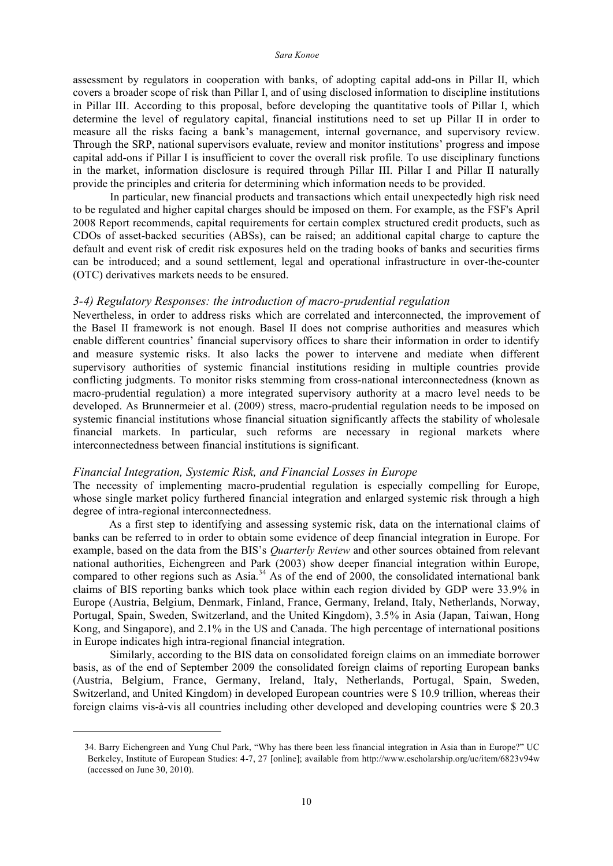assessment by regulators in cooperation with banks, of adopting capital add-ons in Pillar II, which covers a broader scope of risk than Pillar I, and of using disclosed information to discipline institutions in Pillar III. According to this proposal, before developing the quantitative tools of Pillar I, which determine the level of regulatory capital, financial institutions need to set up Pillar II in order to measure all the risks facing a bank's management, internal governance, and supervisory review. Through the SRP, national supervisors evaluate, review and monitor institutions' progress and impose capital add-ons if Pillar I is insufficient to cover the overall risk profile. To use disciplinary functions in the market, information disclosure is required through Pillar III. Pillar I and Pillar II naturally provide the principles and criteria for determining which information needs to be provided.

In particular, new financial products and transactions which entail unexpectedly high risk need to be regulated and higher capital charges should be imposed on them. For example, as the FSF's April 2008 Report recommends, capital requirements for certain complex structured credit products, such as CDOs of asset-backed securities (ABSs), can be raised; an additional capital charge to capture the default and event risk of credit risk exposures held on the trading books of banks and securities firms can be introduced; and a sound settlement, legal and operational infrastructure in over-the-counter (OTC) derivatives markets needs to be ensured.

#### *3-4) Regulatory Responses: the introduction of macro-prudential regulation*

Nevertheless, in order to address risks which are correlated and interconnected, the improvement of the Basel II framework is not enough. Basel II does not comprise authorities and measures which enable different countries' financial supervisory offices to share their information in order to identify and measure systemic risks. It also lacks the power to intervene and mediate when different supervisory authorities of systemic financial institutions residing in multiple countries provide conflicting judgments. To monitor risks stemming from cross-national interconnectedness (known as macro-prudential regulation) a more integrated supervisory authority at a macro level needs to be developed. As Brunnermeier et al. (2009) stress, macro-prudential regulation needs to be imposed on systemic financial institutions whose financial situation significantly affects the stability of wholesale financial markets. In particular, such reforms are necessary in regional markets where interconnectedness between financial institutions is significant.

#### *Financial Integration, Systemic Risk, and Financial Losses in Europe*

<u>.</u>

The necessity of implementing macro-prudential regulation is especially compelling for Europe, whose single market policy furthered financial integration and enlarged systemic risk through a high degree of intra-regional interconnectedness.

As a first step to identifying and assessing systemic risk, data on the international claims of banks can be referred to in order to obtain some evidence of deep financial integration in Europe. For example, based on the data from the BIS's *Quarterly Review* and other sources obtained from relevant national authorities, Eichengreen and Park (2003) show deeper financial integration within Europe, compared to other regions such as Asia.<sup>34</sup> As of the end of  $2000$ , the consolidated international bank claims of BIS reporting banks which took place within each region divided by GDP were 33.9% in Europe (Austria, Belgium, Denmark, Finland, France, Germany, Ireland, Italy, Netherlands, Norway, Portugal, Spain, Sweden, Switzerland, and the United Kingdom), 3.5% in Asia (Japan, Taiwan, Hong Kong, and Singapore), and 2.1% in the US and Canada. The high percentage of international positions in Europe indicates high intra-regional financial integration.

Similarly, according to the BIS data on consolidated foreign claims on an immediate borrower basis, as of the end of September 2009 the consolidated foreign claims of reporting European banks (Austria, Belgium, France, Germany, Ireland, Italy, Netherlands, Portugal, Spain, Sweden, Switzerland, and United Kingdom) in developed European countries were \$ 10.9 trillion, whereas their foreign claims vis-à-vis all countries including other developed and developing countries were \$ 20.3

<sup>34.</sup> Barry Eichengreen and Yung Chul Park, "Why has there been less financial integration in Asia than in Europe?" UC Berkeley, Institute of European Studies: 4-7, 27 [online]; available from http://www.escholarship.org/uc/item/6823v94w (accessed on June 30, 2010).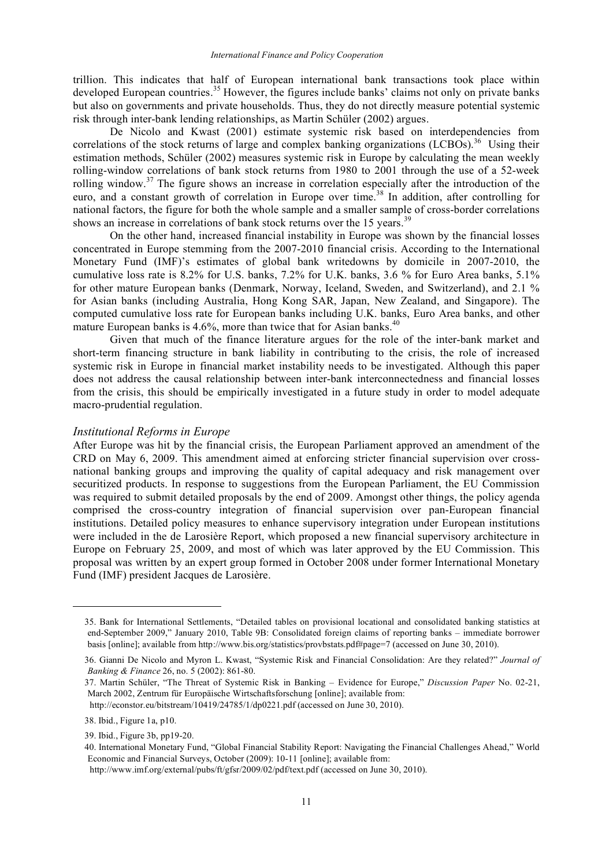trillion. This indicates that half of European international bank transactions took place within developed European countries.<sup>35</sup> However, the figures include banks' claims not only on private banks but also on governments and private households. Thus, they do not directly measure potential systemic risk through inter-bank lending relationships, as Martin Schüler (2002) argues.

De Nicolo and Kwast (2001) estimate systemic risk based on interdependencies from correlations of the stock returns of large and complex banking organizations (LCBOs).<sup>36</sup> Using their estimation methods, Schüler (2002) measures systemic risk in Europe by calculating the mean weekly rolling-window correlations of bank stock returns from 1980 to 2001 through the use of a 52-week rolling window.<sup>37</sup> The figure shows an increase in correlation especially after the introduction of the euro, and a constant growth of correlation in Europe over time.<sup>38</sup> In addition, after controlling for national factors, the figure for both the whole sample and a smaller sample of cross-border correlations shows an increase in correlations of bank stock returns over the 15 years.<sup>39</sup>

On the other hand, increased financial instability in Europe was shown by the financial losses concentrated in Europe stemming from the 2007-2010 financial crisis. According to the International Monetary Fund (IMF)'s estimates of global bank writedowns by domicile in 2007-2010, the cumulative loss rate is 8.2% for U.S. banks, 7.2% for U.K. banks, 3.6 % for Euro Area banks, 5.1% for other mature European banks (Denmark, Norway, Iceland, Sweden, and Switzerland), and 2.1 % for Asian banks (including Australia, Hong Kong SAR, Japan, New Zealand, and Singapore). The computed cumulative loss rate for European banks including U.K. banks, Euro Area banks, and other mature European banks is 4.6%, more than twice that for Asian banks.<sup>40</sup>

Given that much of the finance literature argues for the role of the inter-bank market and short-term financing structure in bank liability in contributing to the crisis, the role of increased systemic risk in Europe in financial market instability needs to be investigated. Although this paper does not address the causal relationship between inter-bank interconnectedness and financial losses from the crisis, this should be empirically investigated in a future study in order to model adequate macro-prudential regulation.

#### *Institutional Reforms in Europe*

After Europe was hit by the financial crisis, the European Parliament approved an amendment of the CRD on May 6, 2009. This amendment aimed at enforcing stricter financial supervision over crossnational banking groups and improving the quality of capital adequacy and risk management over securitized products. In response to suggestions from the European Parliament, the EU Commission was required to submit detailed proposals by the end of 2009. Amongst other things, the policy agenda comprised the cross-country integration of financial supervision over pan-European financial institutions. Detailed policy measures to enhance supervisory integration under European institutions were included in the de Larosière Report, which proposed a new financial supervisory architecture in Europe on February 25, 2009, and most of which was later approved by the EU Commission. This proposal was written by an expert group formed in October 2008 under former International Monetary Fund (IMF) president Jacques de Larosière.

<sup>35.</sup> Bank for International Settlements, "Detailed tables on provisional locational and consolidated banking statistics at end-September 2009," January 2010, Table 9B: Consolidated foreign claims of reporting banks – immediate borrower basis [online]; available from http://www.bis.org/statistics/provbstats.pdf#page=7 (accessed on June 30, 2010).

<sup>36.</sup> Gianni De Nicolo and Myron L. Kwast, "Systemic Risk and Financial Consolidation: Are they related?" *Journal of Banking & Finance* 26, no. 5 (2002): 861-80.

<sup>37.</sup> Martin Schüler, "The Threat of Systemic Risk in Banking – Evidence for Europe," *Discussion Paper* No. 02-21, March 2002, Zentrum für Europäische Wirtschaftsforschung [online]; available from:

http://econstor.eu/bitstream/10419/24785/1/dp0221.pdf (accessed on June 30, 2010).

<sup>38.</sup> Ibid., Figure 1a, p10.

<sup>39.</sup> Ibid., Figure 3b, pp19-20.

<sup>40.</sup> International Monetary Fund, "Global Financial Stability Report: Navigating the Financial Challenges Ahead," World Economic and Financial Surveys, October (2009): 10-11 [online]; available from:

http://www.imf.org/external/pubs/ft/gfsr/2009/02/pdf/text.pdf (accessed on June 30, 2010).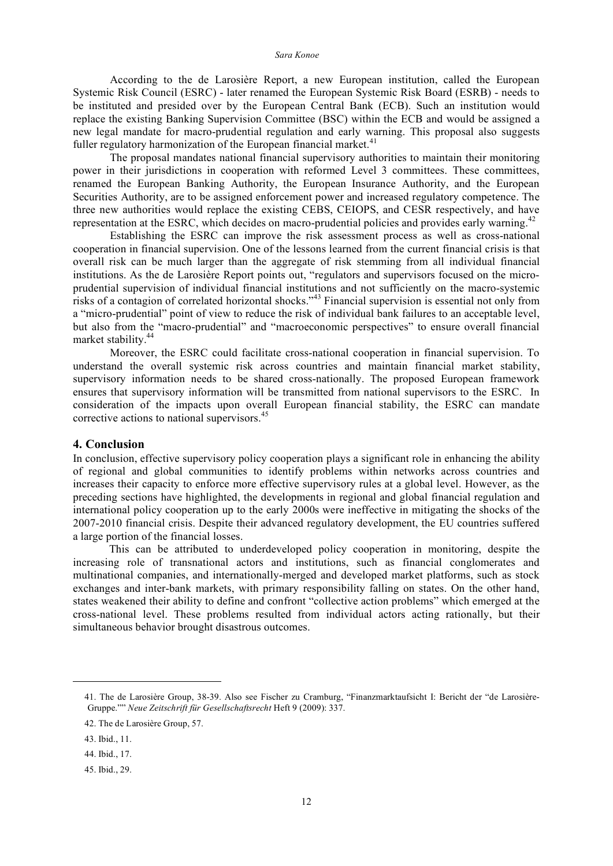According to the de Larosière Report, a new European institution, called the European Systemic Risk Council (ESRC) - later renamed the European Systemic Risk Board (ESRB) - needs to be instituted and presided over by the European Central Bank (ECB). Such an institution would replace the existing Banking Supervision Committee (BSC) within the ECB and would be assigned a new legal mandate for macro-prudential regulation and early warning. This proposal also suggests fuller regulatory harmonization of the European financial market.<sup>41</sup>

The proposal mandates national financial supervisory authorities to maintain their monitoring power in their jurisdictions in cooperation with reformed Level 3 committees. These committees, renamed the European Banking Authority, the European Insurance Authority, and the European Securities Authority, are to be assigned enforcement power and increased regulatory competence. The three new authorities would replace the existing CEBS, CEIOPS, and CESR respectively, and have representation at the ESRC, which decides on macro-prudential policies and provides early warning.<sup>42</sup>

Establishing the ESRC can improve the risk assessment process as well as cross-national cooperation in financial supervision. One of the lessons learned from the current financial crisis is that overall risk can be much larger than the aggregate of risk stemming from all individual financial institutions. As the de Larosière Report points out, "regulators and supervisors focused on the microprudential supervision of individual financial institutions and not sufficiently on the macro-systemic risks of a contagion of correlated horizontal shocks."<sup>43</sup> Financial supervision is essential not only from a "micro-prudential" point of view to reduce the risk of individual bank failures to an acceptable level, but also from the "macro-prudential" and "macroeconomic perspectives" to ensure overall financial market stability. 44

Moreover, the ESRC could facilitate cross-national cooperation in financial supervision. To understand the overall systemic risk across countries and maintain financial market stability, supervisory information needs to be shared cross-nationally. The proposed European framework ensures that supervisory information will be transmitted from national supervisors to the ESRC. In consideration of the impacts upon overall European financial stability, the ESRC can mandate corrective actions to national supervisors. 45

#### **4. Conclusion**

In conclusion, effective supervisory policy cooperation plays a significant role in enhancing the ability of regional and global communities to identify problems within networks across countries and increases their capacity to enforce more effective supervisory rules at a global level. However, as the preceding sections have highlighted, the developments in regional and global financial regulation and international policy cooperation up to the early 2000s were ineffective in mitigating the shocks of the 2007-2010 financial crisis. Despite their advanced regulatory development, the EU countries suffered a large portion of the financial losses.

This can be attributed to underdeveloped policy cooperation in monitoring, despite the increasing role of transnational actors and institutions, such as financial conglomerates and multinational companies, and internationally-merged and developed market platforms, such as stock exchanges and inter-bank markets, with primary responsibility falling on states. On the other hand, states weakened their ability to define and confront "collective action problems" which emerged at the cross-national level. These problems resulted from individual actors acting rationally, but their simultaneous behavior brought disastrous outcomes.

<sup>41.</sup> The de Larosière Group, 38-39. Also see Fischer zu Cramburg, "Finanzmarktaufsicht I: Bericht der "de Larosière-Gruppe."" *Neue Zeitschrift für Gesellschaftsrecht* Heft 9 (2009): 337.

<sup>42.</sup> The de Larosière Group, 57.

<sup>43.</sup> Ibid., 11.

<sup>44.</sup> Ibid., 17.

<sup>45.</sup> Ibid., 29.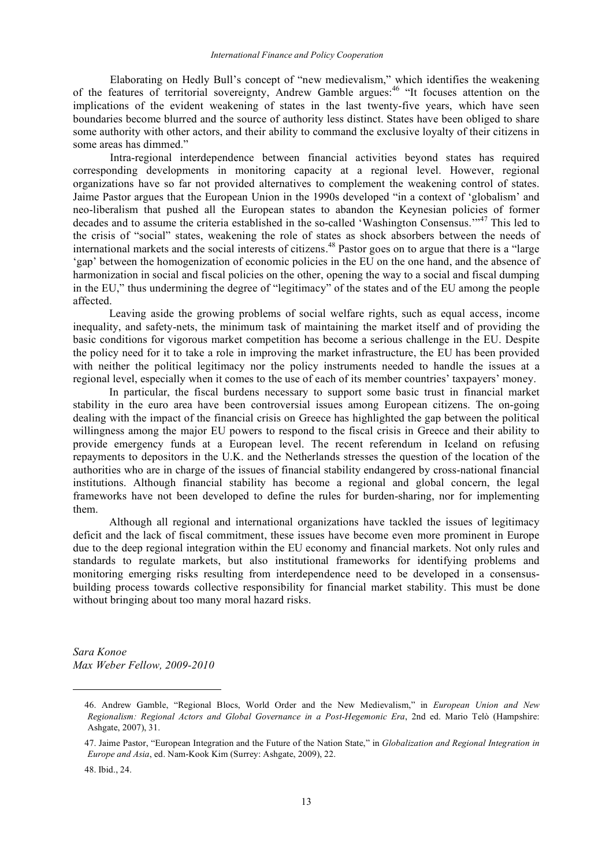Elaborating on Hedly Bull's concept of "new medievalism," which identifies the weakening of the features of territorial sovereignty, Andrew Gamble argues:<sup>46</sup> "It focuses attention on the implications of the evident weakening of states in the last twenty-five years, which have seen boundaries become blurred and the source of authority less distinct. States have been obliged to share some authority with other actors, and their ability to command the exclusive loyalty of their citizens in some areas has dimmed."

Intra-regional interdependence between financial activities beyond states has required corresponding developments in monitoring capacity at a regional level. However, regional organizations have so far not provided alternatives to complement the weakening control of states. Jaime Pastor argues that the European Union in the 1990s developed "in a context of 'globalism' and neo-liberalism that pushed all the European states to abandon the Keynesian policies of former decades and to assume the criteria established in the so-called 'Washington Consensus.'"<sup>47</sup> This led to the crisis of "social" states, weakening the role of states as shock absorbers between the needs of international markets and the social interests of citizens. <sup>48</sup> Pastor goes on to argue that there is a "large 'gap' between the homogenization of economic policies in the EU on the one hand, and the absence of harmonization in social and fiscal policies on the other, opening the way to a social and fiscal dumping in the EU," thus undermining the degree of "legitimacy" of the states and of the EU among the people affected.

Leaving aside the growing problems of social welfare rights, such as equal access, income inequality, and safety-nets, the minimum task of maintaining the market itself and of providing the basic conditions for vigorous market competition has become a serious challenge in the EU. Despite the policy need for it to take a role in improving the market infrastructure, the EU has been provided with neither the political legitimacy nor the policy instruments needed to handle the issues at a regional level, especially when it comes to the use of each of its member countries' taxpayers' money.

In particular, the fiscal burdens necessary to support some basic trust in financial market stability in the euro area have been controversial issues among European citizens. The on-going dealing with the impact of the financial crisis on Greece has highlighted the gap between the political willingness among the major EU powers to respond to the fiscal crisis in Greece and their ability to provide emergency funds at a European level. The recent referendum in Iceland on refusing repayments to depositors in the U.K. and the Netherlands stresses the question of the location of the authorities who are in charge of the issues of financial stability endangered by cross-national financial institutions. Although financial stability has become a regional and global concern, the legal frameworks have not been developed to define the rules for burden-sharing, nor for implementing them.

Although all regional and international organizations have tackled the issues of legitimacy deficit and the lack of fiscal commitment, these issues have become even more prominent in Europe due to the deep regional integration within the EU economy and financial markets. Not only rules and standards to regulate markets, but also institutional frameworks for identifying problems and monitoring emerging risks resulting from interdependence need to be developed in a consensusbuilding process towards collective responsibility for financial market stability. This must be done without bringing about too many moral hazard risks.

*Sara Konoe Max Weber Fellow, 2009-2010*

48. Ibid., 24.

<sup>46.</sup> Andrew Gamble, "Regional Blocs, World Order and the New Medievalism," in *European Union and New Regionalism: Regional Actors and Global Governance in a Post-Hegemonic Era*, 2nd ed. Mario Telò (Hampshire: Ashgate, 2007), 31.

<sup>47.</sup> Jaime Pastor, "European Integration and the Future of the Nation State," in *Globalization and Regional Integration in Europe and Asia*, ed. Nam-Kook Kim (Surrey: Ashgate, 2009), 22.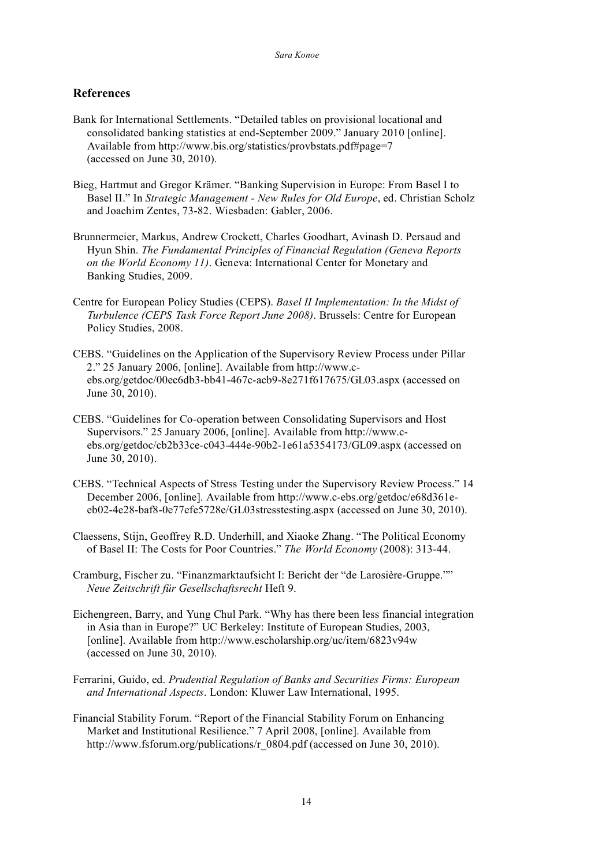# **References**

- Bank for International Settlements. "Detailed tables on provisional locational and consolidated banking statistics at end-September 2009." January 2010 [online]. Available from http://www.bis.org/statistics/provbstats.pdf#page=7 (accessed on June 30, 2010).
- Bieg, Hartmut and Gregor Krämer. "Banking Supervision in Europe: From Basel I to Basel II." In *Strategic Management - New Rules for Old Europe*, ed. Christian Scholz and Joachim Zentes, 73-82. Wiesbaden: Gabler, 2006.
- Brunnermeier, Markus, Andrew Crockett, Charles Goodhart, Avinash D. Persaud and Hyun Shin. *The Fundamental Principles of Financial Regulation (Geneva Reports on the World Economy 11)*. Geneva: International Center for Monetary and Banking Studies, 2009.
- Centre for European Policy Studies (CEPS). *Basel II Implementation: In the Midst of Turbulence (CEPS Task Force Report June 2008)*. Brussels: Centre for European Policy Studies, 2008.
- CEBS. "Guidelines on the Application of the Supervisory Review Process under Pillar 2." 25 January 2006, [online]. Available from http://www.cebs.org/getdoc/00ec6db3-bb41-467c-acb9-8e271f617675/GL03.aspx (accessed on June 30, 2010).
- CEBS. "Guidelines for Co-operation between Consolidating Supervisors and Host Supervisors." 25 January 2006, [online]. Available from http://www.cebs.org/getdoc/cb2b33ce-c043-444e-90b2-1e61a5354173/GL09.aspx (accessed on June 30, 2010).
- CEBS. "Technical Aspects of Stress Testing under the Supervisory Review Process." 14 December 2006, [online]. Available from http://www.c-ebs.org/getdoc/e68d361eeb02-4e28-baf8-0e77efe5728e/GL03stresstesting.aspx (accessed on June 30, 2010).
- Claessens, Stijn, Geoffrey R.D. Underhill, and Xiaoke Zhang. "The Political Economy of Basel II: The Costs for Poor Countries." *The World Economy* (2008): 313-44.
- Cramburg, Fischer zu. "Finanzmarktaufsicht I: Bericht der "de Larosière-Gruppe."" *Neue Zeitschrift für Gesellschaftsrecht* Heft 9.
- Eichengreen, Barry, and Yung Chul Park. "Why has there been less financial integration in Asia than in Europe?" UC Berkeley: Institute of European Studies, 2003, [online]. Available from http://www.escholarship.org/uc/item/6823v94w (accessed on June 30, 2010).
- Ferrarini, Guido, ed. *Prudential Regulation of Banks and Securities Firms: European and International Aspects*. London: Kluwer Law International, 1995.
- Financial Stability Forum. "Report of the Financial Stability Forum on Enhancing Market and Institutional Resilience." 7 April 2008, [online]. Available from http://www.fsforum.org/publications/r\_0804.pdf (accessed on June 30, 2010).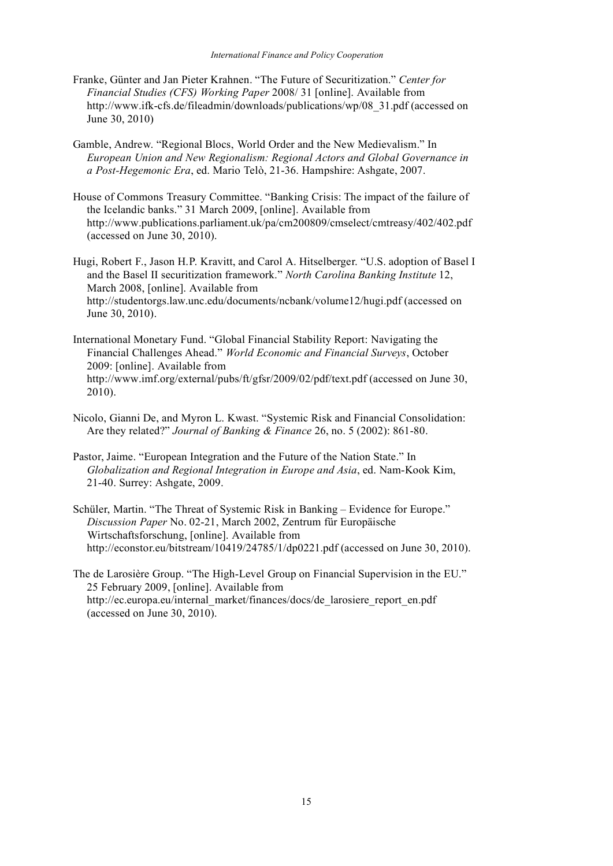- Franke, Günter and Jan Pieter Krahnen. "The Future of Securitization." *Center for Financial Studies (CFS) Working Paper* 2008/ 31 [online]. Available from http://www.ifk-cfs.de/fileadmin/downloads/publications/wp/08\_31.pdf (accessed on June 30, 2010)
- Gamble, Andrew. "Regional Blocs, World Order and the New Medievalism." In *European Union and New Regionalism: Regional Actors and Global Governance in a Post-Hegemonic Era*, ed. Mario Telò, 21-36. Hampshire: Ashgate, 2007.
- House of Commons Treasury Committee. "Banking Crisis: The impact of the failure of the Icelandic banks." 31 March 2009, [online]. Available from http://www.publications.parliament.uk/pa/cm200809/cmselect/cmtreasy/402/402.pdf (accessed on June 30, 2010).

Hugi, Robert F., Jason H.P. Kravitt, and Carol A. Hitselberger. "U.S. adoption of Basel I and the Basel II securitization framework." *North Carolina Banking Institute* 12, March 2008, [online]. Available from http://studentorgs.law.unc.edu/documents/ncbank/volume12/hugi.pdf (accessed on June 30, 2010).

- International Monetary Fund. "Global Financial Stability Report: Navigating the Financial Challenges Ahead." *World Economic and Financial Surveys*, October 2009: [online]. Available from http://www.imf.org/external/pubs/ft/gfsr/2009/02/pdf/text.pdf (accessed on June 30, 2010).
- Nicolo, Gianni De, and Myron L. Kwast. "Systemic Risk and Financial Consolidation: Are they related?" *Journal of Banking & Finance* 26, no. 5 (2002): 861-80.
- Pastor, Jaime. "European Integration and the Future of the Nation State." In *Globalization and Regional Integration in Europe and Asia*, ed. Nam-Kook Kim, 21-40. Surrey: Ashgate, 2009.
- Schüler, Martin. "The Threat of Systemic Risk in Banking Evidence for Europe." *Discussion Paper* No. 02-21, March 2002, Zentrum für Europäische Wirtschaftsforschung, [online]. Available from http://econstor.eu/bitstream/10419/24785/1/dp0221.pdf (accessed on June 30, 2010).
- The de Larosière Group. "The High-Level Group on Financial Supervision in the EU." 25 February 2009, [online]. Available from http://ec.europa.eu/internal\_market/finances/docs/de\_larosiere\_report\_en.pdf (accessed on June 30, 2010).